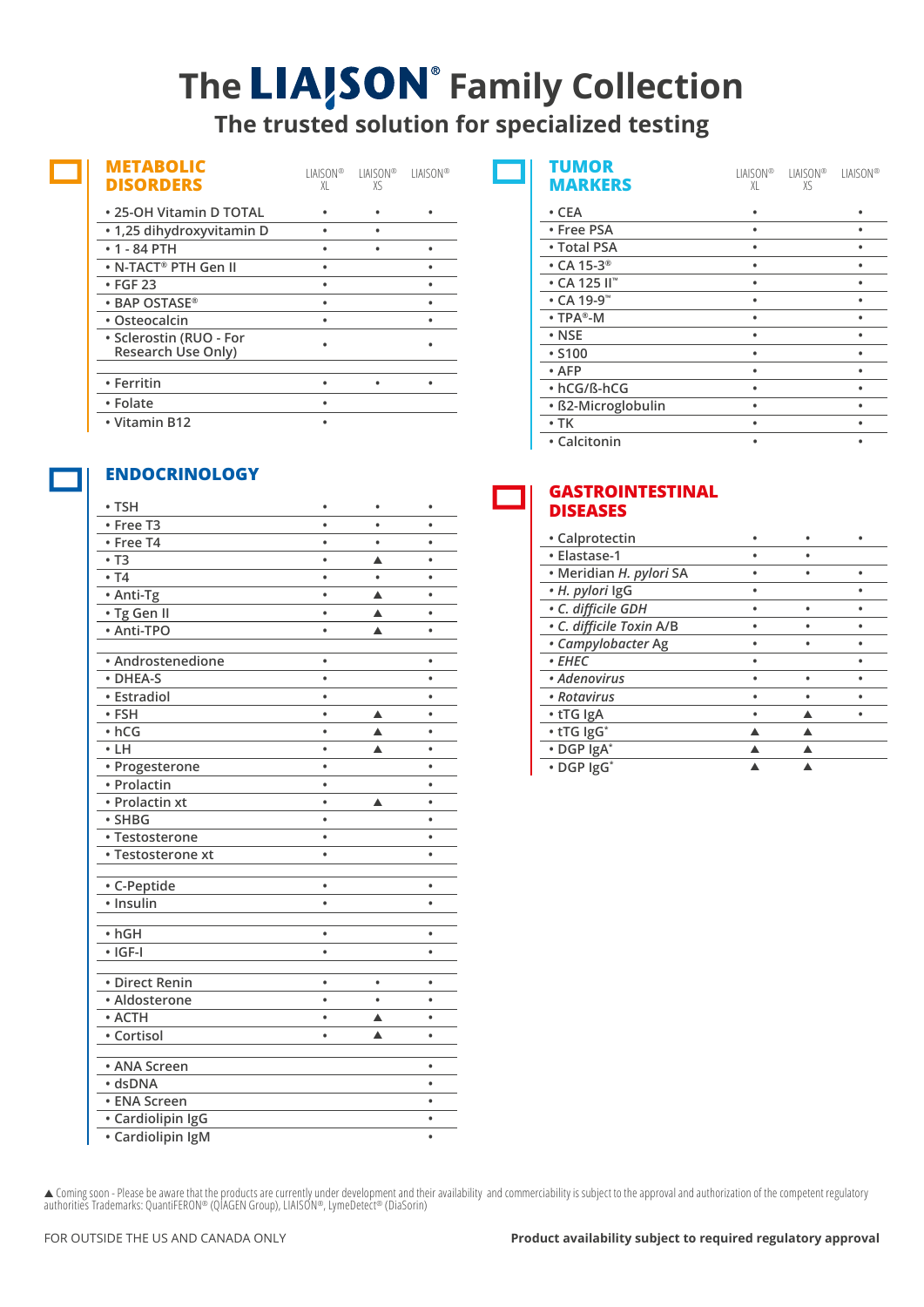## **The LIA/SON** Family Collection **The trusted solution for specialized testing**

| <b>METABOLIC</b><br><b>DISORDERS</b>          | LIAISON®<br>XI | HAISON®.<br>χς | <b>LIAISON®</b> |
|-----------------------------------------------|----------------|----------------|-----------------|
| • 25-OH Vitamin D TOTAL                       |                |                |                 |
| • 1,25 dihydroxyvitamin D                     |                |                |                 |
| $• 1 - 84$ PTH                                |                |                |                 |
| $\bullet$ N-TACT® PTH Gen II                  |                |                |                 |
| • FGF 23                                      |                |                |                 |
| $\cdot$ BAP OSTASE®                           |                |                |                 |
| • Osteocalcin                                 |                |                |                 |
| • Sclerostin (RUO - For<br>Research Use Only) |                |                |                 |
|                                               |                |                |                 |
| • Ferritin                                    |                |                |                 |
| • Folate                                      |                |                |                 |
| • Vitamin B12                                 |                |                |                 |

## **ENDOCRINOLOGY**

| • TSH                         | $\bullet$      |           | ٠         |
|-------------------------------|----------------|-----------|-----------|
| • Free T3                     |                |           |           |
| · Free T4                     |                | $\bullet$ |           |
| $\cdot$ T <sub>3</sub>        | ė              | ▲         | $\bullet$ |
| • 74                          | $\bullet$      |           | $\bullet$ |
| • Anti-Tg                     | $\bullet$      | ▲         | $\bullet$ |
| · Tg Gen II                   | $\bullet$      | ▲         | $\bullet$ |
| • Anti-TPO                    | $\bullet$      | ▲         | $\bullet$ |
|                               |                |           |           |
| • Androstenedione<br>· DHEA-S |                |           | ۰         |
|                               | $\bullet$      |           | ٠         |
| • Estradiol                   | $\bullet$      |           | ٠         |
| • FSH                         | $\bullet$      | ▲         | ٠         |
| $\cdot$ hCG<br>$\cdot$ LH     | ٠<br>$\bullet$ | ▲         | ٠<br>٠    |
|                               | $\bullet$      | ▲         | $\bullet$ |
| · Progesterone<br>• Prolactin | $\bullet$      |           |           |
| • Prolactin xt                | $\bullet$      | ▲         |           |
| · SHBG                        | $\bullet$      |           |           |
| • Testosterone                | $\bullet$      |           | ٠         |
| • Testosterone xt             | $\bullet$      |           | $\bullet$ |
|                               |                |           |           |
| • C-Peptide                   | ۰              |           | ۰         |
| $\overline{\cdot}$ Insulin    | $\bullet$      |           | ٠         |
|                               |                |           |           |
| $\cdot$ hGH                   | $\bullet$      |           | ٠         |
| $\cdot$ IGF-I                 | $\bullet$      |           | ٠         |
| • Direct Renin                | $\bullet$      |           | ۰         |
| · Aldosterone                 | $\bullet$      | $\bullet$ | $\bullet$ |
| • ACTH                        | $\bullet$      | ▲         | $\bullet$ |
| • Cortisol                    | $\bullet$      | ▲         | $\bullet$ |
| • ANA Screen                  |                |           | $\bullet$ |
| · dsDNA                       |                |           | ٠         |
| • ENA Screen                  |                |           | $\bullet$ |
| · Cardiolipin IgG             |                |           | ٠         |
| • Cardiolipin IgM             |                |           | ٠         |

| <b>TUMOR</b><br><b>MARKERS</b> | LIAISON®<br>XI | LIAISON®<br>XS | <b>LIAISON®</b> |
|--------------------------------|----------------|----------------|-----------------|
| $\cdot$ CEA                    |                |                |                 |
| • Free PSA                     | ٠              |                |                 |
| • Total PSA                    |                |                |                 |
| $\cdot$ CA 15-3 <sup>®</sup>   | ٠              |                | ٠               |
| $\cdot$ CA 125 II"             |                |                |                 |
| $\cdot$ CA 19-9 <sup>**</sup>  | ٠              |                |                 |
| $\cdot$ TPA®-M                 | ٠              |                |                 |
| $\cdot$ NSE                    | ٠              |                | ٠               |
| • S100                         | ٠              |                | ٠               |
| $\cdot$ AFP                    |                |                |                 |
| • hCG/ß-hCG                    | ٠              |                | ٠               |
| · ß2-Microglobulin             | ٠              |                |                 |
| $\cdot$ TK                     | ٠              |                |                 |
| • Calcitonin                   |                |                |                 |

## **GASTROINTESTINAL DISEASES**

| • Calprotectin           |  |  |
|--------------------------|--|--|
| • Elastase-1             |  |  |
| • Meridian H. pylori SA  |  |  |
| • H. pylori IgG          |  |  |
| · C. difficile GDH       |  |  |
| · C. difficile Toxin A/B |  |  |
| • Campylobacter Ag       |  |  |
| • EHEC                   |  |  |
| • Adenovirus             |  |  |
| • Rotavirus              |  |  |
| • tTG IgA                |  |  |
| • tTG IgG*               |  |  |
| • DGP IgA*               |  |  |
| • DGP IgG*               |  |  |

▲ Coming soon - Please be aware that the products are currently under development and their availability and commerciability is subject to the approval and authorization of the competent regulatory authorities Trademarks: QuantiFERON® (QIAGEN Group), LIAISON®, LymeDetect® (DiaSorin)